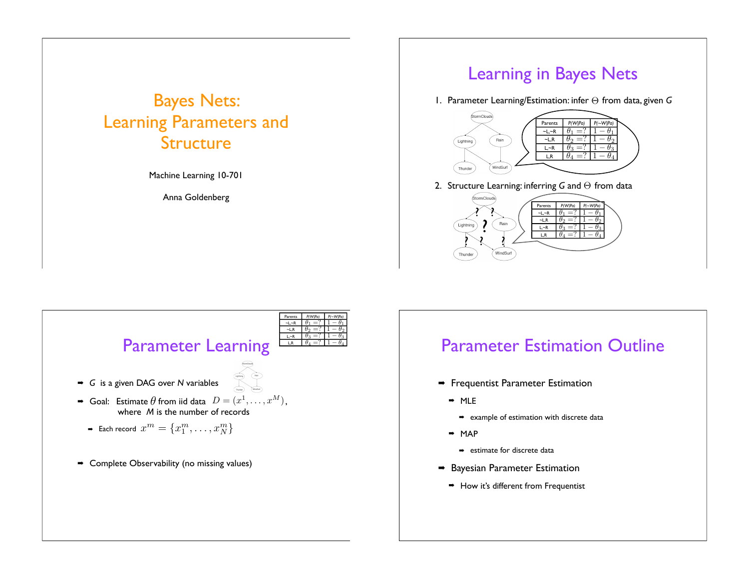# Bayes Nets: Learning Parameters and Structure

Machine Learning 10-701

Anna Goldenberg

#### Learning in Bayes Nets

1. Parameter Learning/Estimation: infer  $Θ$  from data, given *G* 



 $-L, R$ L,~R  $\theta_3 =$ L,R  $\theta_4 = ? \ 1 - \theta_4$ 



## Parameter Estimation Outline

- $\rightarrow$  Frequentist Parameter Estimation
	- $MLE$

<u>?</u> २ : ?

Lightnin

Thunder

Rain

**WindSurf** 

- $\rightarrow$  example of estimation with discrete data
- $MAP$ 
	- $\rightarrow$  estimate for discrete data
- $\rightarrow$  Bayesian Parameter Estimation
	- $\rightarrow$  How it's different from Frequentist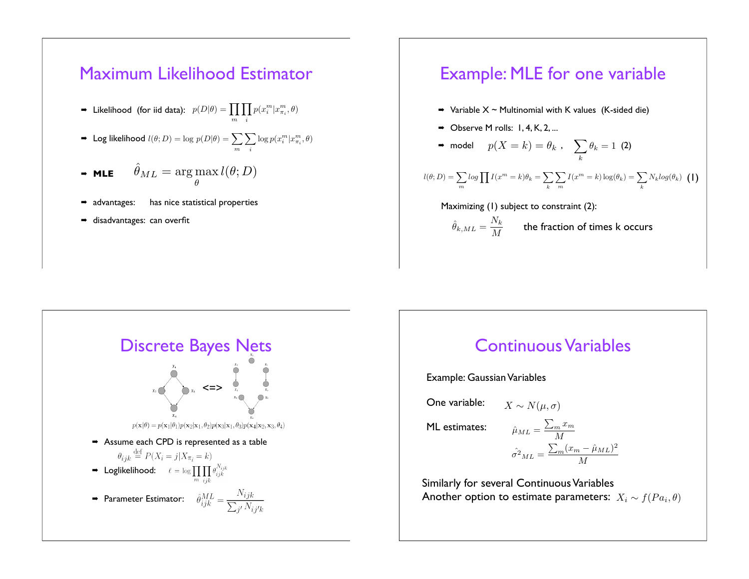

# Example: MLE for one variable

- $\rightarrow$  Variable X ~ Multinomial with K values (K-sided die)
- $\rightarrow$  Observe M rolls: 1, 4, K, 2, ...
- $\bullet$  model  $p(X = k) = \theta_k$  ,  $\sum \theta_k = 1$  (2) k  $\theta_k = 1$

$$
l(\theta; D) = \sum_{m} log \prod I(x^{m} = k)\theta_{k} = \sum_{k} \sum_{m} I(x^{m} = k) log(\theta_{k}) = \sum_{k} N_{k} log(\theta_{k}) \quad (1)
$$

Maximizing (1) subject to constraint (2):

 $\hat{\theta}_{k,ML} = \frac{N_k}{M}$  $\frac{N\cdot k}{M}$  the fraction of times k occurs



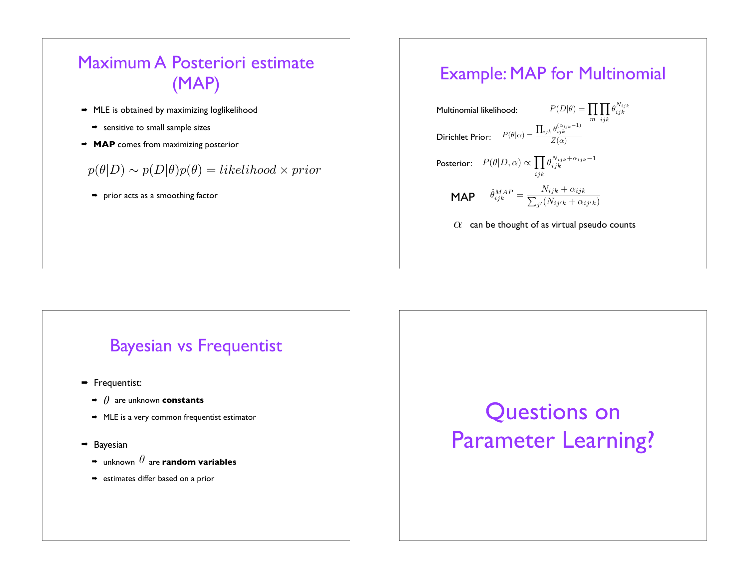# Maximum A Posteriori estimate (MAP)

- $\rightarrow$  MLE is obtained by maximizing loglikelihood
	- $\Rightarrow$  sensitive to small sample sizes
- **MAP** comes from maximizing posterior

#### $p(\theta|D) \sim p(D|\theta)p(\theta) = likelihood \times prior$

 $\rightarrow$  prior acts as a smoothing factor

#### Example: MAP for Multinomial



# Bayesian vs Frequentist

- $\rightarrow$  Frequentist:
	- $\rightarrow$   $\theta$  are unknown **constants**
	- $\rightarrow$  MLE is a very common frequentist estimator
- $\rightarrow$  Bayesian
	- $\overline{\bullet}\,$  unknown  $\theta$  are **random variables**
	- $\rightarrow$  estimates differ based on a prior

# Questions on Parameter Learning?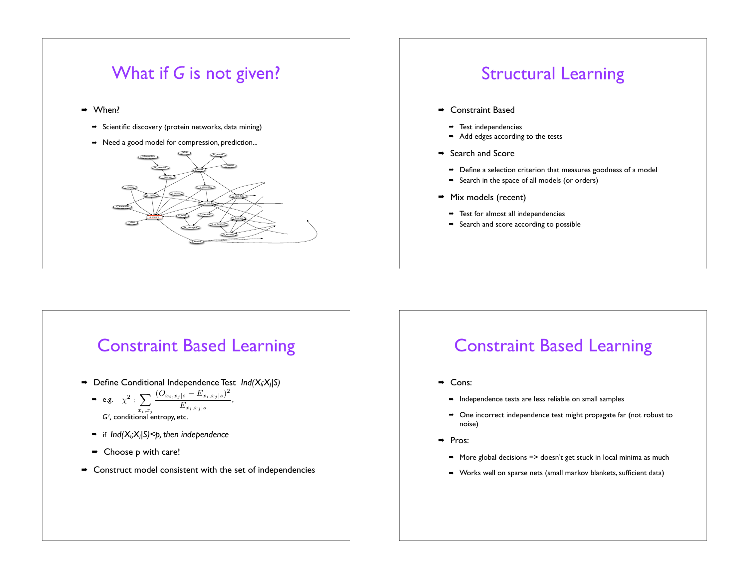

# Structural Learning

- $\rightarrow$  Constraint Based
	- $\rightarrow$  Test independencies
	- $\rightarrow$  Add edges according to the tests
- $\rightarrow$  Search and Score
	- $\rightarrow$  Define a selection criterion that measures goodness of a model
	- $\rightarrow$  Search in the space of all models (or orders)
- $\rightarrow$  Mix models (recent)
	- $\rightarrow$  Test for almost all independencies
	- $\rightarrow$  Search and score according to possible

# Constraint Based Learning

- ! Define Conditional Independence Test *Ind(Xi;Xj|S)*
	- **⇒** e.g.  $\chi^2$  :  $\sum \frac{(O_{x_i,x_j|s} E_{x_i,x_j|s})^2}{D}$ , *G2,* conditional entropy, etc.  $x_i,x_j$  $E_{x_i,x_j|s}$
	- ! if *Ind(Xi;Xj|S)<p, then independence*
	- $\rightarrow$  Choose p with care!
- $\rightarrow$  Construct model consistent with the set of independencies

# Constraint Based Learning

- → Cons:
	- $\rightarrow$  Independence tests are less reliable on small samples
	- $\rightarrow$  One incorrect independence test might propagate far (not robust to noise)
- → Pros:
	- $\rightarrow$  More global decisions => doesn't get stuck in local minima as much
	- ! Works well on sparse nets (small markov blankets, sufficient data)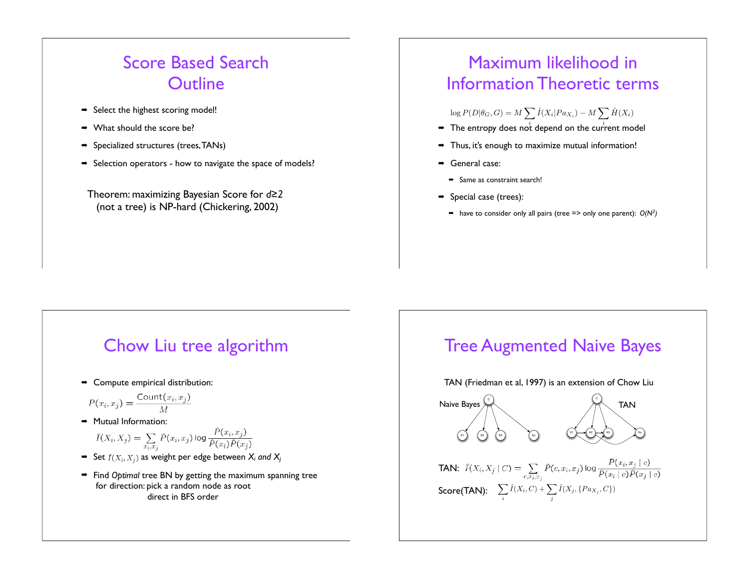# Score Based Search **Outline**

- → Select the highest scoring model!
- $\rightarrow$  What should the score be?
- $\Rightarrow$  Specialized structures (trees, TANs)
- $\rightarrow$  Selection operators how to navigate the space of models?

Theorem: maximizing Bayesian Score for *d!2* (not a tree) is NP-hard (Chickering, 2002)

# Maximum likelihood in Information Theoretic terms

 $\log P(D|\theta_G, G) = M \sum \hat{I}(X_i|Pa_{X_i}) - M \sum \hat{H}(X_i)$ 

- $\rightarrow$  The entropy does not depend on the current model
- $\rightarrow$  Thus, it's enough to maximize mutual information!
- → General case:
	- $\rightarrow$  Same as constraint search!
- $\Rightarrow$  Special case (trees):
	- $\rightarrow$  have to consider only all pairs (tree => only one parent):  $O(N^2)$

## Chow Liu tree algorithm

 $\rightarrow$  Compute empirical distribution:

$$
\hat{P}(x_i, x_j) = \frac{\text{Count}(x_i, x_j)}{M}
$$

 $\rightarrow$  Mutual Information:

$$
\widehat{I}(X_i, X_j) = \sum_{x_i, x_j} \widehat{P}(x_i, x_j) \log \frac{P(x_i, x_j)}{\widehat{P}(x_i)\widehat{P}(x_j)}
$$

- $\rightarrow$  Set  $\widehat{I}(X_i, X_j)$  as weight per edge between  $X_i$  and  $X_i$
- ! Find *Optimal* tree BN by getting the maximum spanning tree for direction: pick a random node as root direct in BFS order

# Tree Augmented Naive Bayes

TAN (Friedman et al, 1997) is an extension of Chow Liu



**TAN:**  $\widehat{I}(X_i, X_j | C) = \sum_{c, x_i, x_j} \widehat{P}(c, x_i, x_j) \log \frac{\widehat{P}(x_i, x_j | c)}{\widehat{P}(x_i | c) \widehat{P}(x_j | c)}$ Score(TAN):  $\sum\limits_i$  $\hat{I}(X_i, C) + \sum$  $\sum_j \hat{I}(X_j,\{Pa_{X_j},C\})$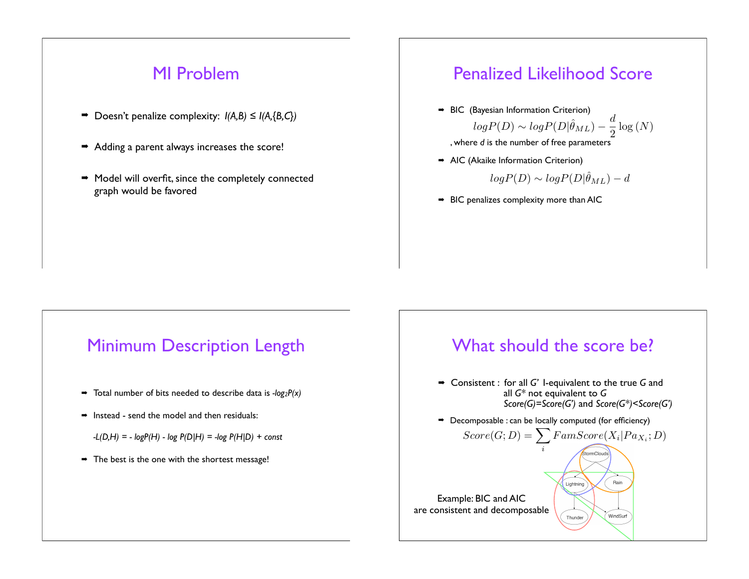#### MI Problem

- $\Rightarrow$  Doesn't penalize complexity:  $I(A,B) \leq I(A,\{B,C\})$
- $\rightarrow$  Adding a parent always increases the score!
- $\rightarrow$  Model will overfit, since the completely connected graph would be favored

## Penalized Likelihood Score

 $\rightarrow$  BIC (Bayesian Information Criterion)  $logP(D) \sim logP(D|\hat{\theta}_{ML}) - \frac{d}{2}$ 2  $\log{(N)}$ 

, where *d* is the number of free parameters

 $\rightarrow$  AIC (Akaike Information Criterion)

$$
log P(D) \sim log P(D|\hat{\theta}_{ML}) - d
$$

 $\rightarrow$  BIC penalizes complexity more than AIC

## Minimum Description Length

- $\rightarrow$  Total number of bits needed to describe data is  $-log_2P(x)$
- $\rightarrow$  Instead send the model and then residuals:
	- *-L(D,H) = logP(H) log P(D|H) = -log P(H|D) + const*
- $\rightarrow$  The best is the one with the shortest message!

## What should the score be? ! Consistent : for all *G'* I-equivalent to the true *G* and all *G\** not equivalent to *G Score(G)=Score(G')* and *Score(G\*)<Score(G')*  $\rightarrow$  Decomposable : can be locally computed (for efficiency)  $Score(G; D) = \sum \n{FamScore(X_i|Pa_{X_i}; D)}$ i Rain Lightning

Thunder

windSurf

Example: BIC and AIC are consistent and decomposable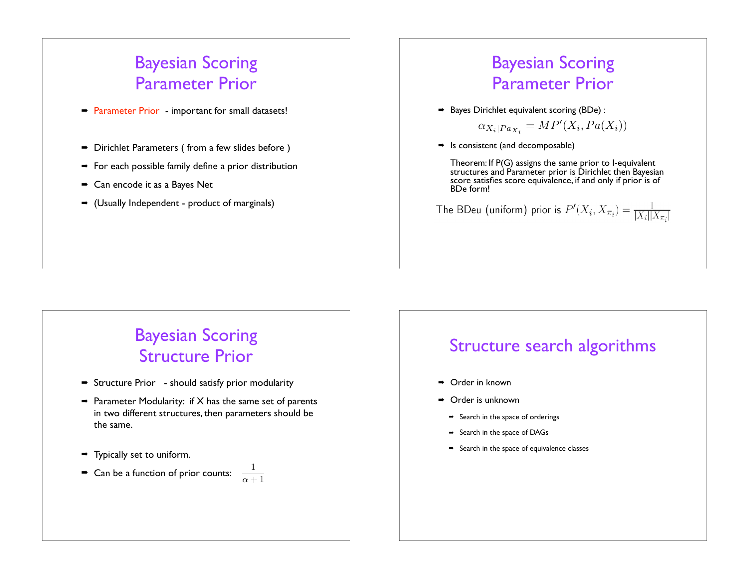# Bayesian Scoring Parameter Prior

- Parameter Prior important for small datasets!
- $\rightarrow$  Dirichlet Parameters ( from a few slides before )
- $\rightarrow$  For each possible family define a prior distribution
- $\rightarrow$  Can encode it as a Bayes Net
- $\rightarrow$  (Usually Independent product of marginals)

# Bayesian Scoring Parameter Prior

 $\rightarrow$  Bayes Dirichlet equivalent scoring (BDe) :

$$
\alpha_{X_i|Pa_{X_i}} = MP'(X_i, Pa(X_i))
$$

 $\rightarrow$  Is consistent (and decomposable)

Theorem: If P(G) assigns the same prior to I-equivalent structures and Parameter prior is Dirichlet then Bayesian score satisfies score equivalence, if and only if prior is of<br>BDe form!

The BDeu (uniform) prior is  $P'(X_i, X_{\pi_i}) = \frac{1}{|X_i||X_{\pi_i}|}$ 

# Bayesian Scoring Structure Prior

- $\rightarrow$  Structure Prior should satisfy prior modularity
- $\rightarrow$  Parameter Modularity: if X has the same set of parents in two different structures, then parameters should be the same.
- $\rightarrow$  Typically set to uniform.

# $\blacktriangleright$  Can be a function of prior counts:  $\frac{1}{\alpha+1}$

# Structure search algorithms

- → Order in known
- $\rightarrow$  Order is unknown
	- $\rightarrow$  Search in the space of orderings
	- $\rightarrow$  Search in the space of DAGs
	- $\rightarrow$  Search in the space of equivalence classes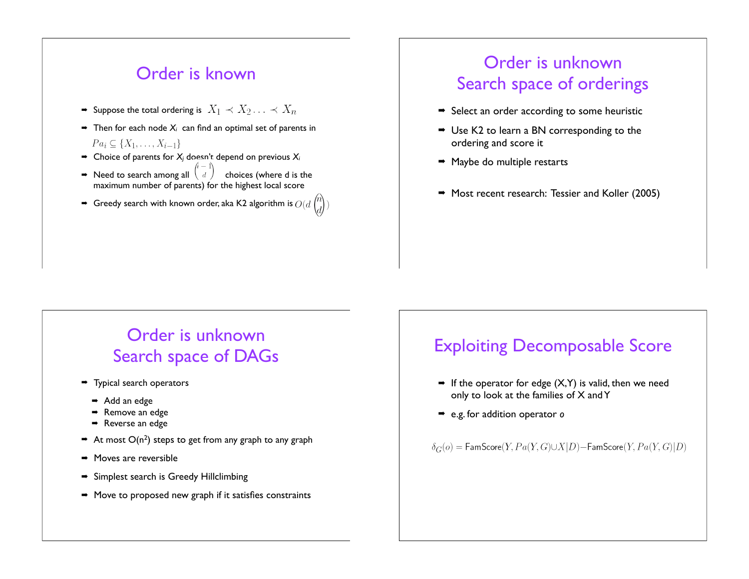#### Order is known

- $\rightarrow$  Suppose the total ordering is  $X_1 \prec X_2 \ldots \prec X_n$
- $\rightarrow$  Then for each node  $X_i$  can find an optimal set of parents in  $Pa_i \subseteq \{X_1, \ldots, X_{i-1}\}\$
- $\rightarrow$  Choice of parents for  $X_i$  doesn't depend on previous  $X_i$
- $\rightarrow$  Need to search among all  $\begin{pmatrix} i & 1 \\ d & \end{pmatrix}$  choices (where d is the maximum number of parents) for the highest local score
- $\rightarrow$  Greedy search with known order, aka K2 algorithm is  $O(d)$

# Order is unknown Search space of orderings

- $\rightarrow$  Select an order according to some heuristic
- $\rightarrow$  Use K2 to learn a BN corresponding to the ordering and score it
- $\rightarrow$  Maybe do multiple restarts
- Most recent research: Tessier and Koller (2005)

# Order is unknown Search space of DAGs

- $\rightarrow$  Typical search operators
	- → Add an edge
	- Remove an edge
	- $\rightarrow$  Reverse an edge
- $\rightarrow$  At most O(n<sup>2</sup>) steps to get from any graph to any graph
- $\rightarrow$  Moves are reversible
- $\rightarrow$  Simplest search is Greedy Hillclimbing
- $\rightarrow$  Move to proposed new graph if it satisfies constraints

# Exploiting Decomposable Score

- $\rightarrow$  If the operator for edge (X,Y) is valid, then we need only to look at the families of X and Y
- ! e.g. for addition operator *o*

 $\delta_G(o)$  = FamScore(Y,  $Pa(Y, G) \cup X|D)$  - FamScore(Y,  $Pa(Y, G)|D)$ )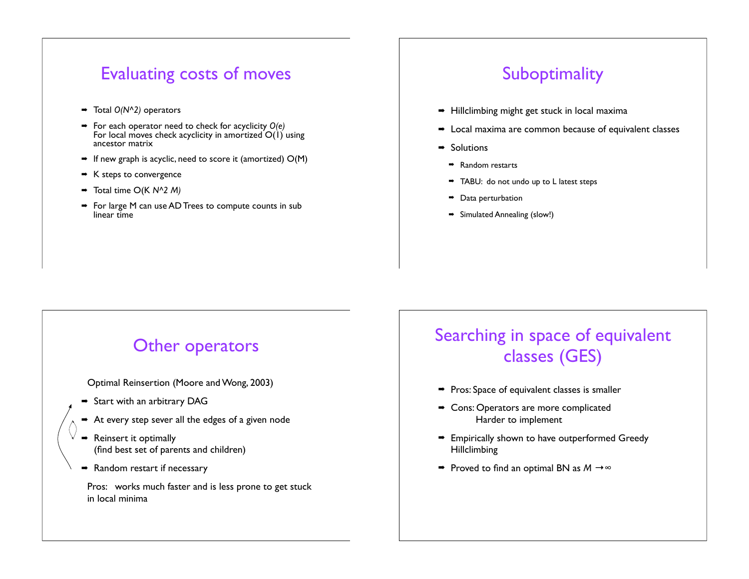# Evaluating costs of moves

- ! Total *O(N^2)* operators
- ! For each operator need to check for acyclicity *O(e)* For local moves check acyclicity in amortized O(1) using ancestor matrix
- $\rightarrow$  If new graph is acyclic, need to score it (amortized)  $O(M)$
- $\blacktriangleright$  K steps to convergence
- ! Total time O(K *N^2 M)*
- For large M can use AD Trees to compute counts in sub linear time

# **Suboptimality**

- $\rightarrow$  Hillclimbing might get stuck in local maxima
- $\rightarrow$  Local maxima are common because of equivalent classes
- $\rightarrow$  Solutions
	- $\rightarrow$  Random restarts
	- TABU: do not undo up to L latest steps
	- $\rightarrow$  Data perturbation
- $\Rightarrow$  Simulated Annealing (slow!)

# Other operators

Optimal Reinsertion (Moore and Wong, 2003)

- $\rightarrow$  Start with an arbitrary DAG
- $\rightarrow$  At every step sever all the edges of a given node
- Reinsert it optimally (find best set of parents and children)
- $\rightarrow$  Random restart if necessary

Pros: works much faster and is less prone to get stuck in local minima

# Searching in space of equivalent classes (GES)

- $\rightarrow$  Pros: Space of equivalent classes is smaller
- Cons: Operators are more complicated Harder to implement
- $\rightarrow$  Empirically shown to have outperformed Greedy Hillclimbing
- $\Rightarrow$  Proved to find an optimal BN as  $M \rightarrow \infty$